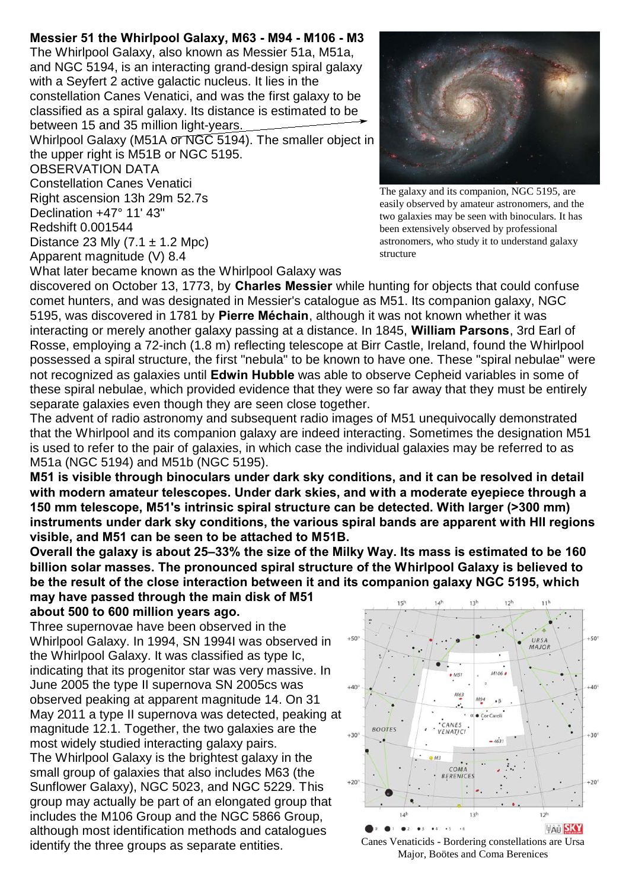## **Messier 51 the Whirlpool Galaxy, M63 - M94 - M106 - M3**

The Whirlpool Galaxy, also known as Messier 51a, M51a, and NGC 5194, is an interacting grand-design spiral galaxy with a Seyfert 2 active galactic nucleus. It lies in the constellation Canes Venatici, and was the first galaxy to be classified as a spiral galaxy. Its distance is estimated to be between 15 and 35 million light-years.

Whirlpool Galaxy (M51A or NGC 5194). The smaller object in the upper right is M51B or NGC 5195.

OBSERVATION DATA

Constellation Canes Venatici Right ascension 13h 29m 52.7s

Declination +47° 11' 43"

Redshift 0.001544

Distance 23 Mly  $(7.1 \pm 1.2 \text{ Mpc})$ Apparent magnitude (V) 8.4

What later became known as the Whirlpool Galaxy was



The galaxy and its companion, NGC 5195, are easily observed by amateur astronomers, and the two galaxies may be seen with binoculars. It has been extensively observed by professional astronomers, who study it to understand galaxy structure

discovered on October 13, 1773, by **Charles Messier** while hunting for objects that could confuse comet hunters, and was designated in Messier's catalogue as M51. Its companion galaxy, NGC 5195, was discovered in 1781 by **Pierre Méchain**, although it was not known whether it was interacting or merely another galaxy passing at a distance. In 1845, **William Parsons**, 3rd Earl of Rosse, employing a 72-inch (1.8 m) reflecting telescope at Birr Castle, Ireland, found the Whirlpool possessed a spiral structure, the first "nebula" to be known to have one. These "spiral nebulae" were not recognized as galaxies until **Edwin Hubble** was able to observe Cepheid variables in some of these spiral nebulae, which provided evidence that they were so far away that they must be entirely separate galaxies even though they are seen close together.

The advent of radio astronomy and subsequent radio images of M51 unequivocally demonstrated that the Whirlpool and its companion galaxy are indeed interacting. Sometimes the designation M51 is used to refer to the pair of galaxies, in which case the individual galaxies may be referred to as M51a (NGC 5194) and M51b (NGC 5195).

**M51 is visible through binoculars under dark sky conditions, and it can be resolved in detail with modern amateur telescopes. Under dark skies, and with a moderate eyepiece through a 150 mm telescope, M51's intrinsic spiral structure can be detected. With larger (>300 mm) instruments under dark sky conditions, the various spiral bands are apparent with HII regions visible, and M51 can be seen to be attached to M51B.** 

**Overall the galaxy is about 25–33% the size of the Milky Way. Its mass is estimated to be 160 billion solar masses. The pronounced spiral structure of the Whirlpool Galaxy is believed to be the result of the close interaction between it and its companion galaxy NGC 5195, which**

**may have passed through the main disk of M51 about 500 to 600 million years ago.** 

Three supernovae have been observed in the Whirlpool Galaxy. In 1994, SN 1994I was observed in the Whirlpool Galaxy. It was classified as type Ic, indicating that its progenitor star was very massive. In June 2005 the type II supernova SN 2005cs was observed peaking at apparent magnitude 14. On 31 May 2011 a type II supernova was detected, peaking at magnitude 12.1. Together, the two galaxies are the most widely studied interacting galaxy pairs. The Whirlpool Galaxy is the brightest galaxy in the small group of galaxies that also includes M63 (the Sunflower Galaxy), NGC 5023, and NGC 5229. This group may actually be part of an elongated group that includes the M106 Group and the NGC 5866 Group, although most identification methods and catalogues identify the three groups as separate entities.



Major, Boötes and Coma Berenices